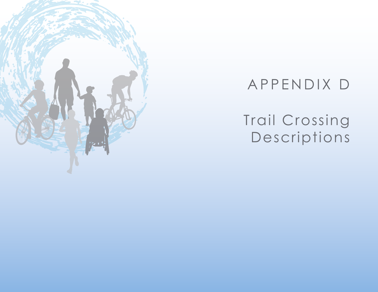

# APPENDIX D

# Trail Crossing Descriptions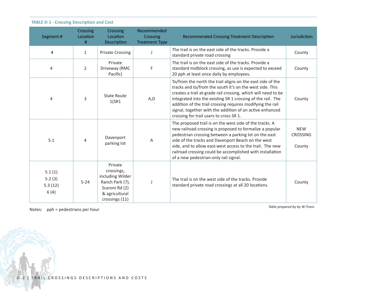| Segment #                           | Crossing<br>Location<br># | Crossing<br>Location<br>Description                                                                                | Recommended<br>Crossing<br><b>Treatment Type</b> | <b>Recommended Crossing Treatment Description</b>                                                                                                                                                                                                                                                                                                                                                                           | Jurisdiction                            |
|-------------------------------------|---------------------------|--------------------------------------------------------------------------------------------------------------------|--------------------------------------------------|-----------------------------------------------------------------------------------------------------------------------------------------------------------------------------------------------------------------------------------------------------------------------------------------------------------------------------------------------------------------------------------------------------------------------------|-----------------------------------------|
| 4                                   | $\mathbf{1}$              | <b>Private Crossing</b>                                                                                            |                                                  | The trail is on the east side of the tracks. Provide a<br>standard private road crossing                                                                                                                                                                                                                                                                                                                                    | County                                  |
| 4                                   | $\overline{2}$            | Private<br>Driveway (RMC<br>Pacific)                                                                               | F                                                | The trail is on the east side of the tracks. Provide a<br>standard midblock crossing, as use is expected to exceed<br>20 pph at least once daily by employees.                                                                                                                                                                                                                                                              | County                                  |
| 4                                   | 3                         | State Route<br>1(SR1)                                                                                              | A,D                                              | To/from the north the trail aligns on the east side of the<br>tracks and to/from the south it's on the west side. This<br>creates a trail at-grade rail crossing, which will need to be<br>integrated into the existing SR 1 crossing of the rail. The<br>addition of the trail crossing requires modifying the rail<br>signal, together with the addition of an active enhanced<br>crossing for trail users to cross SR 1. | County                                  |
| 5.1                                 | $\overline{4}$            | Davenport<br>parking lot                                                                                           | Α                                                | The proposed trail is on the west side of the tracks. A<br>new railroad crossing is proposed to formalize a popular<br>pedestrian crossing between a parking lot on the east<br>side of the tracks and Davenport Beach on the west<br>side, and to allow east-west access to the trail. The new<br>railroad crossing could be accomplished with installation<br>of a new pedestrian-only rail signal.                       | <b>NEW</b><br><b>CROSSING</b><br>County |
| 5.1(1)<br>5.2(3)<br>5.3(12)<br>6(4) | $5 - 24$                  | Private<br>crossings,<br>including Wilder<br>Ranch Park (7),<br>Scaroni Rd (2)<br>& agricultural<br>crossings (11) |                                                  | The trail is on the west side of the tracks. Provide<br>standard private road crossings at all 20 locations.                                                                                                                                                                                                                                                                                                                | County                                  |

Notes: pph = pedestrians per hour *Table prepared by by W-Trans* 

**SALARA**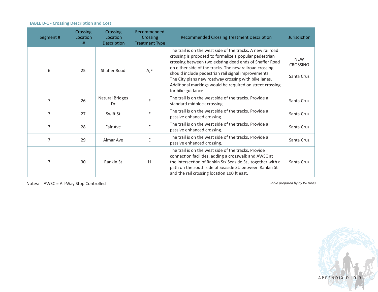| Segment #      | Crossing<br>Location<br># | <b>Crossing</b><br>Location<br><b>Description</b> | Recommended<br>Crossing<br><b>Treatment Type</b> | <b>Recommended Crossing Treatment Description</b>                                                                                                                                                                                                                                                                                                                                                                                            | Jurisdiction                                |
|----------------|---------------------------|---------------------------------------------------|--------------------------------------------------|----------------------------------------------------------------------------------------------------------------------------------------------------------------------------------------------------------------------------------------------------------------------------------------------------------------------------------------------------------------------------------------------------------------------------------------------|---------------------------------------------|
| 6              | 25                        | Shaffer Road                                      | A,F                                              | The trail is on the west side of the tracks. A new railroad<br>crossing is proposed to formalize a popular pedestrian<br>crossing between two existing dead ends of Shaffer Road<br>on either side of the tracks. The new railroad crossing<br>should include pedestrian rail signal improvements.<br>The City plans new roadway crossing with bike lanes.<br>Additional markings would be required on street crossing<br>for bike guidance. | <b>NEW</b><br><b>CROSSING</b><br>Santa Cruz |
| 7              | 26                        | Natural Bridges<br>Dr                             | F                                                | The trail is on the west side of the tracks. Provide a<br>standard midblock crossing.                                                                                                                                                                                                                                                                                                                                                        | Santa Cruz                                  |
| $\overline{7}$ | 27                        | Swift St                                          | E                                                | The trail is on the west side of the tracks. Provide a<br>passive enhanced crossing.                                                                                                                                                                                                                                                                                                                                                         | Santa Cruz                                  |
| 7              | 28                        | Fair Ave                                          | Ε                                                | The trail is on the west side of the tracks. Provide a<br>passive enhanced crossing.                                                                                                                                                                                                                                                                                                                                                         | Santa Cruz                                  |
| 7              | 29                        | Almar Ave                                         | Ε                                                | The trail is on the west side of the tracks. Provide a<br>passive enhanced crossing.                                                                                                                                                                                                                                                                                                                                                         | Santa Cruz                                  |
| 7              | 30                        | Rankin St                                         | H                                                | The trail is on the west side of the tracks. Provide<br>connection facilities, adding a crosswalk and AWSC at<br>the intersection of Rankin St/ Seaside St., together with a<br>path on the south side of Seaside St. between Rankin St<br>and the rail crossing location 100 ft east.                                                                                                                                                       | Santa Cruz                                  |

Notes: AWSC = All-Way Stop Controlled **Table prepared by by W-Trans** 

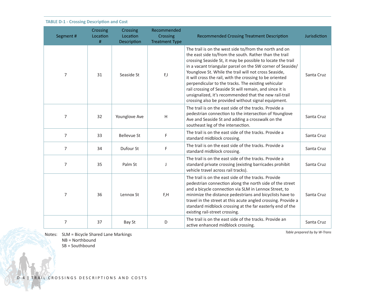| Segment #      | Crossing<br>Location<br># | Crossing<br>Location<br>Description | Recommended<br>Crossing<br><b>Treatment Type</b> | <b>Recommended Crossing Treatment Description</b>                                                                                                                                                                                                                                                                                                                                                                                                                                                                                                                                                      | Jurisdiction |
|----------------|---------------------------|-------------------------------------|--------------------------------------------------|--------------------------------------------------------------------------------------------------------------------------------------------------------------------------------------------------------------------------------------------------------------------------------------------------------------------------------------------------------------------------------------------------------------------------------------------------------------------------------------------------------------------------------------------------------------------------------------------------------|--------------|
| 7              | 31                        | Seaside St                          | F,I                                              | The trail is on the west side to/from the north and on<br>the east side to/from the south. Rather than the trail<br>crossing Seaside St, it may be possible to locate the trail<br>in a vacant triangular parcel on the SW corner of Seaside/<br>Younglove St. While the trail will not cross Seaside,<br>it will cross the rail, with the crossing to be oriented<br>perpendicular to the tracks. The existing vehicular<br>rail crossing of Seaside St will remain, and since it is<br>unsignalized, it's recommended that the new rail-trail<br>crossing also be provided without signal equipment. | Santa Cruz   |
| 7              | 32                        | Younglove Ave                       | $\mathsf H$                                      | The trail is on the east side of the tracks. Provide a<br>pedestrian connection to the intersection of Younglove<br>Ave and Seaside St and adding a crosswalk on the<br>southeast leg of the intersection.                                                                                                                                                                                                                                                                                                                                                                                             | Santa Cruz   |
| $\overline{7}$ | 33                        | <b>Bellevue St</b>                  | F                                                | The trail is on the east side of the tracks. Provide a<br>standard midblock crossing.                                                                                                                                                                                                                                                                                                                                                                                                                                                                                                                  | Santa Cruz   |
| $\overline{7}$ | 34                        | Dufour St                           | F                                                | The trail is on the east side of the tracks. Provide a<br>standard midblock crossing.                                                                                                                                                                                                                                                                                                                                                                                                                                                                                                                  | Santa Cruz   |
| $\overline{7}$ | 35                        | Palm St                             | J                                                | The trail is on the east side of the tracks. Provide a<br>standard private crossing (existing barricades prohibit<br>vehicle travel across rail tracks).                                                                                                                                                                                                                                                                                                                                                                                                                                               | Santa Cruz   |
| 7              | 36                        | Lennox St                           | F,H                                              | The trail is on the east side of the tracks. Provide<br>pedestrian connection along the north side of the street<br>and a bicycle connection via SLM in Lennox Street, to<br>minimize the distance pedestrians and bicyclists have to<br>travel in the street at this acute angled crossing. Provide a<br>standard midblock crossing at the far easterly end of the<br>existing rail-street crossing.                                                                                                                                                                                                  | Santa Cruz   |
| 7              | 37                        | Bay St                              | D                                                | The trail is on the east side of the tracks. Provide an<br>active enhanced midblock crossing.                                                                                                                                                                                                                                                                                                                                                                                                                                                                                                          | Santa Cruz   |

Notes: SLM = Bicycle Shared Lane Markings

NB = Northbound

SB = Southbound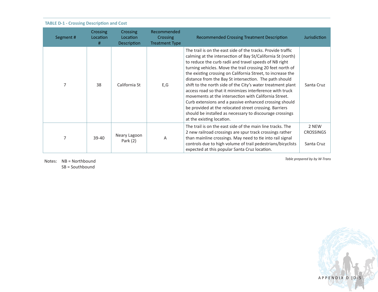| Segment# | Crossing<br>Location<br># | Crossing<br>Location<br>Description | Recommended<br>Crossing<br><b>Treatment Type</b> | <b>Recommended Crossing Treatment Description</b>                                                                                                                                                                                                                                                                                                                                                                                                                                                                                                                                                                                                                                                                                                                             | <b>Jurisdiction</b>                     |
|----------|---------------------------|-------------------------------------|--------------------------------------------------|-------------------------------------------------------------------------------------------------------------------------------------------------------------------------------------------------------------------------------------------------------------------------------------------------------------------------------------------------------------------------------------------------------------------------------------------------------------------------------------------------------------------------------------------------------------------------------------------------------------------------------------------------------------------------------------------------------------------------------------------------------------------------------|-----------------------------------------|
|          | 38                        | California St                       | E,G                                              | The trail is on the east side of the tracks. Provide traffic<br>calming at the intersection of Bay St/California St (north)<br>to reduce the curb radii and travel speeds of NB right<br>turning vehicles. Move the trail crossing 20 feet north of<br>the existing crossing on California Street, to increase the<br>distance from the Bay St intersection. The path should<br>shift to the north side of the City's water treatment plant<br>access road so that it minimizes interference with truck<br>movements at the intersection with California Street.<br>Curb extensions and a passive enhanced crossing should<br>be provided at the relocated street crossing. Barriers<br>should be installed as necessary to discourage crossings<br>at the existing location. | Santa Cruz                              |
|          | $39-40$                   | Neary Lagoon<br>Park $(2)$          | A                                                | The trail is on the east side of the main line tracks. The<br>2 new railroad crossings are spur track crossings rather<br>than mainline crossings. May need to tie into rail signal<br>controls due to high volume of trail pedestrians/bicyclists<br>expected at this popular Santa Cruz location.                                                                                                                                                                                                                                                                                                                                                                                                                                                                           | 2 NEW<br><b>CROSSINGS</b><br>Santa Cruz |

Notes: NB = Northbound SB = Southbound

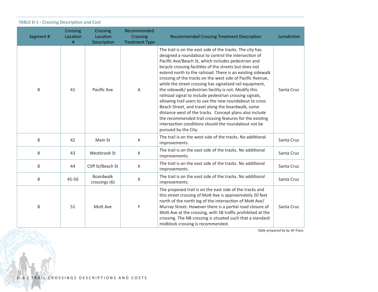|  |  | <b>TABLE D-1 - Crossing Description and Cost</b> |  |  |
|--|--|--------------------------------------------------|--|--|
|--|--|--------------------------------------------------|--|--|

| Segment # | Crossing<br>Location<br># | Crossing<br>Location<br>Description | Recommended<br>Crossing<br><b>Treatment Type</b> | <b>Recommended Crossing Treatment Description</b>                                                                                                                                                                                                                                                                                                                                                                                                                                                                                                                                                                                                                                                                                                                                                                                                                        | Jurisdiction |
|-----------|---------------------------|-------------------------------------|--------------------------------------------------|--------------------------------------------------------------------------------------------------------------------------------------------------------------------------------------------------------------------------------------------------------------------------------------------------------------------------------------------------------------------------------------------------------------------------------------------------------------------------------------------------------------------------------------------------------------------------------------------------------------------------------------------------------------------------------------------------------------------------------------------------------------------------------------------------------------------------------------------------------------------------|--------------|
| 8         | 41                        | Pacific Ave                         | Α                                                | The trail is on the east side of the tracks. The city has<br>designed a roundabout to control the intersection of<br>Pacific Ave/Beach St, which includes pedestrian and<br>bicycle crossing facilities of the streets but does not<br>extend north to the railroad. There is an existing sidewalk<br>crossing of the tracks on the west side of Pacific Avenue,<br>while the street crossing has signalized rail equipment,<br>the sidewalk/ pedestrian facility is not. Modify this<br>railroad signal to include pedestrian crossing signals,<br>allowing trail users to use the new roundabout to cross<br>Beach Street, and travel along the boardwalk, some<br>distance west of the tracks. Concept plans also include<br>the recommended trail crossing features for the existing<br>intersection conditions should the roundabout not be<br>pursued by the City. | Santa Cruz   |
| 8         | 42                        | Main St                             | K                                                | The trail is on the west side of the tracks. No additional<br>improvements.                                                                                                                                                                                                                                                                                                                                                                                                                                                                                                                                                                                                                                                                                                                                                                                              | Santa Cruz   |
| 8         | 43                        | Westbrook St                        | К                                                | The trail is on the east side of the tracks. No additional<br>improvements.                                                                                                                                                                                                                                                                                                                                                                                                                                                                                                                                                                                                                                                                                                                                                                                              | Santa Cruz   |
| 8         | 44                        | Cliff St/Beach St                   | K                                                | The trail is on the east side of the tracks. No additional<br>improvements.                                                                                                                                                                                                                                                                                                                                                                                                                                                                                                                                                                                                                                                                                                                                                                                              | Santa Cruz   |
| 8         | 45-50                     | <b>Boardwalk</b><br>crossings (6)   | К                                                | The trail is on the east side of the tracks. No additional<br>improvements.                                                                                                                                                                                                                                                                                                                                                                                                                                                                                                                                                                                                                                                                                                                                                                                              | Santa Cruz   |
| 8         | 51                        | Mott Ave                            | F                                                | The proposed trail is on the east side of the tracks and<br>this street crossing of Mott Ave is approximately 20 feet<br>north of the north leg of the intersection of Mott Ave/<br>Murray Street. However there is a partial road closure of<br>Mott Ave at the crossing, with SB traffic prohibited at the<br>crossing. The NB crossing is situated such that a standard<br>midblock crossing is recommended.                                                                                                                                                                                                                                                                                                                                                                                                                                                          | Santa Cruz   |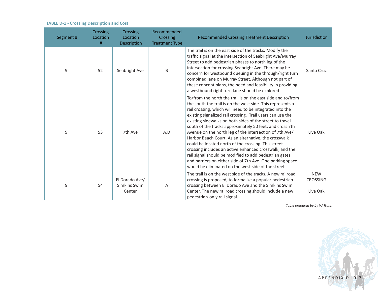| Segment # | Crossing<br>Location<br># | Crossing<br>Location<br>Description      | Recommended<br>Crossing<br><b>Treatment Type</b> | <b>Recommended Crossing Treatment Description</b>                                                                                                                                                                                                                                                                                                                                                                                                                                                                                                                                                                                                                                                                                                                                              | <b>Jurisdiction</b>                       |
|-----------|---------------------------|------------------------------------------|--------------------------------------------------|------------------------------------------------------------------------------------------------------------------------------------------------------------------------------------------------------------------------------------------------------------------------------------------------------------------------------------------------------------------------------------------------------------------------------------------------------------------------------------------------------------------------------------------------------------------------------------------------------------------------------------------------------------------------------------------------------------------------------------------------------------------------------------------------|-------------------------------------------|
| 9         | 52                        | Seabright Ave                            | B                                                | The trail is on the east side of the tracks. Modify the<br>traffic signal at the intersection of Seabright Ave/Murray<br>Street to add pedestrian phases to north leg of the<br>intersection for crossing Seabright Ave. There may be<br>concern for westbound queuing in the through/right turn<br>combined lane on Murray Street. Although not part of<br>these concept plans, the need and feasibility in providing<br>a westbound right turn lane should be explored.                                                                                                                                                                                                                                                                                                                      | Santa Cruz                                |
| 9         | 53                        | 7th Ave                                  | A,D                                              | To/from the north the trail is on the east side and to/from<br>the south the trail is on the west side. This represents a<br>rail crossing, which will need to be integrated into the<br>existing signalized rail crossing. Trail users can use the<br>existing sidewalks on both sides of the street to travel<br>south of the tracks approximately 50 feet, and cross 7th<br>Avenue on the north leg of the intersection of 7th Ave/<br>Harbor Beach Court. As an alternative, the crosswalk<br>could be located north of the crossing. This street<br>crossing includes an active enhanced crosswalk, and the<br>rail signal should be modified to add pedestrian gates<br>and barriers on either side of 7th Ave. One parking space<br>would be eliminated on the west side of the street. | Live Oak                                  |
| 9         | 54                        | El Dorado Ave/<br>Simkins Swim<br>Center | Α                                                | The trail is on the west side of the tracks. A new railroad<br>crossing is proposed, to formalize a popular pedestrian<br>crossing between El Dorado Ave and the Simkins Swim<br>Center. The new railroad crossing should include a new<br>pedestrian-only rail signal.                                                                                                                                                                                                                                                                                                                                                                                                                                                                                                                        | <b>NEW</b><br><b>CROSSING</b><br>Live Oak |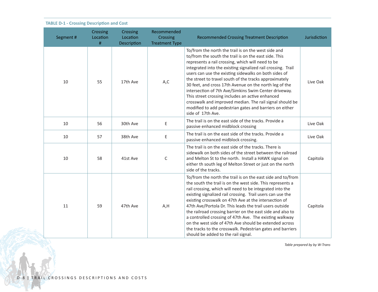| Segment# | Crossing<br>Location<br>$\#$ | Crossing<br>Location<br>Description | Recommended<br>Crossing<br><b>Treatment Type</b> | <b>Recommended Crossing Treatment Description</b>                                                                                                                                                                                                                                                                                                                                                                                                                                                                                                                                                                                                                       | Jurisdiction |
|----------|------------------------------|-------------------------------------|--------------------------------------------------|-------------------------------------------------------------------------------------------------------------------------------------------------------------------------------------------------------------------------------------------------------------------------------------------------------------------------------------------------------------------------------------------------------------------------------------------------------------------------------------------------------------------------------------------------------------------------------------------------------------------------------------------------------------------------|--------------|
| 10       | 55                           | 17th Ave                            | A,C                                              | To/from the north the trail is on the west side and<br>to/from the south the trail is on the east side. This<br>represents a rail crossing, which will need to be<br>integrated into the existing signalized rail crossing. Trail<br>users can use the existing sidewalks on both sides of<br>the street to travel south of the tracks approximately<br>30 feet, and cross 17th Avenue on the north leg of the<br>intersection of 7th Ave/Simkins Swim Center driveway.<br>This street crossing includes an active enhanced<br>crosswalk and improved median. The rail signal should be<br>modified to add pedestrian gates and barriers on either<br>side of 17th Ave. | Live Oak     |
| 10       | 56                           | 30th Ave                            | Ε                                                | The trail is on the east side of the tracks. Provide a<br>passive enhanced midblock crossing                                                                                                                                                                                                                                                                                                                                                                                                                                                                                                                                                                            | Live Oak     |
| 10       | 57                           | 38th Ave                            | Ε                                                | The trail is on the east side of the tracks. Provide a<br>passive enhanced midblock crossing.                                                                                                                                                                                                                                                                                                                                                                                                                                                                                                                                                                           | Live Oak     |
| 10       | 58                           | 41st Ave                            | $\mathsf C$                                      | The trail is on the east side of the tracks. There is<br>sidewalk on both sides of the street between the railroad<br>and Melton St to the north. Install a HAWK signal on<br>either th south leg of Melton Street or just on the north<br>side of the tracks.                                                                                                                                                                                                                                                                                                                                                                                                          | Capitola     |
| 11       | 59                           | 47th Ave                            | A,H                                              | To/from the north the trail is on the east side and to/from<br>the south the trail is on the west side. This represents a<br>rail crossing, which will need to be integrated into the<br>existing signalized rail crossing. Trail users can use the<br>existing crosswalk on 47th Ave at the intersection of<br>47th Ave/Portola Dr. This leads the trail users outside<br>the railroad crossing barrier on the east side and also to<br>a controlled crossing of 47th Ave. The existing walkway<br>on the west side of 47th Ave should be extended across<br>the tracks to the crosswalk. Pedestrian gates and barriers<br>should be added to the rail signal.         | Capitola     |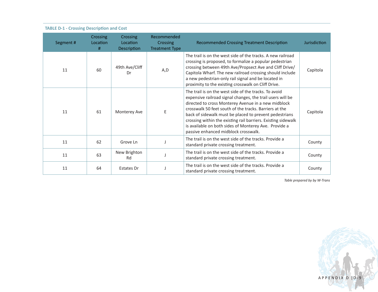| Segment# | Crossing<br>Location<br># | Crossing<br>Location<br>Description | Recommended<br><b>Crossing</b><br><b>Treatment Type</b> | <b>Recommended Crossing Treatment Description</b>                                                                                                                                                                                                                                                                                                                                                                                                                | Jurisdiction |
|----------|---------------------------|-------------------------------------|---------------------------------------------------------|------------------------------------------------------------------------------------------------------------------------------------------------------------------------------------------------------------------------------------------------------------------------------------------------------------------------------------------------------------------------------------------------------------------------------------------------------------------|--------------|
| 11       | 60                        | 49th Ave/Cliff<br>Dr                | A,D                                                     | The trail is on the west side of the tracks. A new railroad<br>crossing is proposed, to formalize a popular pedestrian<br>crossing between 49th Ave/Propsect Ave and Cliff Drive/<br>Capitola Wharf. The new railroad crossing should include<br>a new pedestrian-only rail signal and be located in<br>proximity to the existing crosswalk on Cliff Drive.                                                                                                      | Capitola     |
| 11       | 61                        | Monterey Ave                        | Ε                                                       | The trail is on the west side of the tracks. To avoid<br>expensive railroad signal changes, the trail users will be<br>directed to cross Monterey Avenue in a new midblock<br>crosswalk 50 feet south of the tracks. Barriers at the<br>back of sidewalk must be placed to prevent pedestrians<br>crossing within the existing rail barriers. Existing sidewalk<br>is available on both sides of Monterey Ave. Provide a<br>passive enhanced midblock crosswalk. | Capitola     |
| 11       | 62                        | Grove Ln                            |                                                         | The trail is on the west side of the tracks. Provide a<br>standard private crossing treatment.                                                                                                                                                                                                                                                                                                                                                                   | County       |
| 11       | 63                        | New Brighton<br>Rd                  |                                                         | The trail is on the west side of the tracks. Provide a<br>standard private crossing treatment.                                                                                                                                                                                                                                                                                                                                                                   | County       |
| 11       | 64                        | Estates Dr                          |                                                         | The trail is on the west side of the tracks. Provide a<br>standard private crossing treatment.                                                                                                                                                                                                                                                                                                                                                                   | County       |

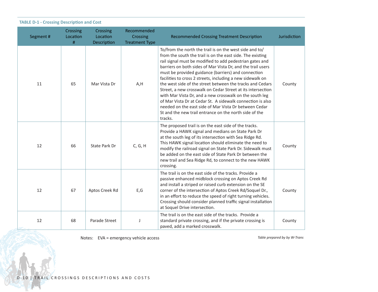| Segment # | Crossing<br>Location<br># | Crossing<br>Location<br>Description | Recommended<br>Crossing<br><b>Treatment Type</b> | <b>Recommended Crossing Treatment Description</b>                                                                                                                                                                                                                                                                                                                                                                                                                                                                                                                                                                                                                                                                                                        | Jurisdiction |
|-----------|---------------------------|-------------------------------------|--------------------------------------------------|----------------------------------------------------------------------------------------------------------------------------------------------------------------------------------------------------------------------------------------------------------------------------------------------------------------------------------------------------------------------------------------------------------------------------------------------------------------------------------------------------------------------------------------------------------------------------------------------------------------------------------------------------------------------------------------------------------------------------------------------------------|--------------|
| 11        | 65                        | Mar Vista Dr                        | A,H                                              | To/from the north the trail is on the west side and to/<br>from the south the trail is on the east side. The existing<br>rail signal must be modified to add pedestrian gates and<br>barriers on both sides of Mar Vista Dr, and the trail users<br>must be provided guidance (barriers) and connection<br>facilities to cross 2 streets, including a new sidewalk on<br>the west side of the street between the tracks and Cedars<br>Street, a new crosswalk on Cedar Street at its intersection<br>with Mar Vista Dr, and a new crosswalk on the south leg<br>of Mar Vista Dr at Cedar St. A sidewalk connection is also<br>needed on the east side of Mar Vista Dr between Cedar<br>St and the new trail entrance on the north side of the<br>tracks. | County       |
| 12        | 66                        | State Park Dr                       | C, G, H                                          | The proposed trail is on the east side of the tracks.<br>Provide a HAWK signal and medians on State Park Dr<br>at the south leg of its intersection with Sea Ridge Rd.<br>This HAWK signal location should eliminate the need to<br>modify the railroad signal on State Park Dr. Sidewalk must<br>be added on the east side of State Park Dr between the<br>new trail and Sea Ridge Rd, to connect to the new HAWK<br>crossing.                                                                                                                                                                                                                                                                                                                          | County       |
| 12        | 67                        | Aptos Creek Rd                      | E, G                                             | The trail is on the east side of the tracks. Provide a<br>passive enhanced midblock crossing on Aptos Creek Rd<br>and install a striped or raised curb extension on the SE<br>corner of the intersection of Aptos Creek Rd/Soquel Dr.,<br>in an effort to reduce the speed of right turning vehicles.<br>Crossing should consider planned traffic signal installation<br>at Soquel Drive intersection.                                                                                                                                                                                                                                                                                                                                                   | County       |
| 12        | 68                        | Parade Street                       | J                                                | The trail is on the east side of the tracks. Provide a<br>standard private crossing, and if the private crossing is<br>paved, add a marked crosswalk.                                                                                                                                                                                                                                                                                                                                                                                                                                                                                                                                                                                                    | County       |

Notes: EVA = emergency vehicle access *Table prepared by by W-Trans*

ان مستعدد ک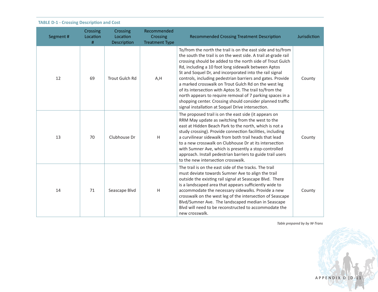| Segment # | Crossing<br>Location<br># | Crossing<br>Location<br>Description | Recommended<br>Crossing<br><b>Treatment Type</b> | <b>Recommended Crossing Treatment Description</b>                                                                                                                                                                                                                                                                                                                                                                                                                                                                                                                                                                                                                             | Jurisdiction |
|-----------|---------------------------|-------------------------------------|--------------------------------------------------|-------------------------------------------------------------------------------------------------------------------------------------------------------------------------------------------------------------------------------------------------------------------------------------------------------------------------------------------------------------------------------------------------------------------------------------------------------------------------------------------------------------------------------------------------------------------------------------------------------------------------------------------------------------------------------|--------------|
| 12        | 69                        | <b>Trout Gulch Rd</b>               | A,H                                              | To/from the north the trail is on the east side and to/from<br>the south the trail is on the west side. A trail at-grade rail<br>crossing should be added to the north side of Trout Gulch<br>Rd, including a 10 foot long sidewalk between Aptos<br>St and Soquel Dr, and incorporated into the rail signal<br>controls, including pedestrian barriers and gates. Provide<br>a marked crosswalk on Trout Gulch Rd on the west leg<br>of its intersection with Aptos St. The trail to/from the<br>north appears to require removal of 7 parking spaces in a<br>shopping center. Crossing should consider planned traffic<br>signal installation at Soquel Drive intersection. | County       |
| 13        | 70                        | Clubhouse Dr                        | H                                                | The proposed trail is on the east side (it appears on<br>RRM May update as switching from the west to the<br>east at Hidden Beach Park to the north, which is not a<br>study crossing). Provide connection facilities, including<br>a curvilinear sidewalk from both trail heads that lead<br>to a new crosswalk on Clubhouse Dr at its intersection<br>with Sumner Ave, which is presently a stop-controlled<br>approach. Install pedestrian barriers to guide trail users<br>to the new intersection crosswalk.                                                                                                                                                             | County       |
| 14        | 71                        | Seascape Blvd                       | Н                                                | The trail is on the east side of the tracks. The trail<br>must deviate towards Sumner Ave to align the trail<br>outside the existing rail signal at Seascape Blvd. There<br>is a landscaped area that appears sufficiently wide to<br>accommodate the necessary sidewalks. Provide a new<br>crosswalk on the west leg of the intersection of Seascape<br>Blvd/Sumner Ave. The landscaped median in Seascape<br>Blyd will need to be reconstructed to accommodate the<br>new crosswalk.                                                                                                                                                                                        | County       |

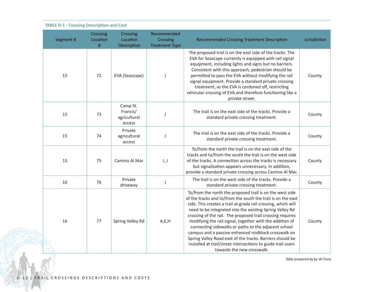| Segment # | Crossing<br>Location<br># | Crossing<br>Location<br>Description            | Recommended<br>Crossing<br><b>Treatment Type</b> | <b>Recommended Crossing Treatment Description</b>                                                                                                                                                                                                                                                                                                                                                                                                                                                                                                                                                                                                         | Jurisdiction |
|-----------|---------------------------|------------------------------------------------|--------------------------------------------------|-----------------------------------------------------------------------------------------------------------------------------------------------------------------------------------------------------------------------------------------------------------------------------------------------------------------------------------------------------------------------------------------------------------------------------------------------------------------------------------------------------------------------------------------------------------------------------------------------------------------------------------------------------------|--------------|
| 15        | 72                        | EVA (Seascape)                                 | J                                                | The proposed trail is on the east side of the tracks. The<br>EVA for Seascape currently is equipped with rail signal<br>equipment, including lights and signs but no barriers.<br>Consistent with this approach, pedestrian should be<br>permitted to pass the EVA without modifying the rail<br>signal equipment. Provide a standard private crossing<br>treatment, as the EVA is cordoned off, restricting<br>vehicular crossing of EVA and therefore functioning like a<br>private street.                                                                                                                                                             | County       |
| 15        | 73                        | Camp St.<br>Francis/<br>agricultural<br>access | J                                                | The trail is on the east side of the tracks. Provide a<br>standard private crossing treatment.                                                                                                                                                                                                                                                                                                                                                                                                                                                                                                                                                            | County       |
| 15        | 74                        | Private<br>agricultural<br>access              | J                                                | The trail is on the east side of the tracks. Provide a<br>standard private crossing treatment.                                                                                                                                                                                                                                                                                                                                                                                                                                                                                                                                                            | County       |
| 15        | 75                        | Camino Al Mar                                  | $\vert, \vert$                                   | To/from the north the trail is on the east side of the<br>tracks and to/from the south the trail is on the west side<br>of the tracks. A connection across the tracks is necessary<br>but signalization appears unnecessary. In addition,<br>provide a standard private crossing across Camino Al Mar.                                                                                                                                                                                                                                                                                                                                                    | County       |
| 16        | 76                        | Private<br>driveway                            | J                                                | The trail is on the west side of the tracks. Provide a<br>standard private crossing treatment.                                                                                                                                                                                                                                                                                                                                                                                                                                                                                                                                                            | County       |
| 16        | 77                        | Spring Valley Rd                               | A,E,H                                            | To/from the north the proposed trail is on the west side<br>of the tracks and to/from the south the trail is on the east<br>side. This creates a trail at-grade rail crossing, which will<br>need to be integrated into the existing Spring Valley Rd<br>crossing of the rail. The proposed trail crossing requires<br>modifying the rail signal, together with the addition of<br>connecting sidewalks or paths to the adjacent school<br>campus and a passive enhanced midblock crosswalk on<br>Spring Valley Road east of the tracks. Barriers should be<br>installed at trail/street intersections to guide trail users<br>towards the new crosswalk. | County       |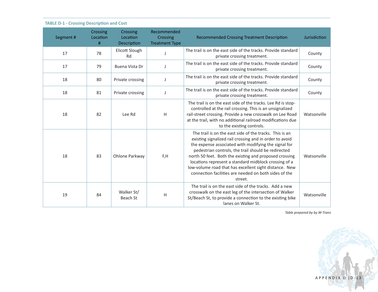|  |  | <b>TABLE D-1 - Crossing Description and Cost</b> |  |
|--|--|--------------------------------------------------|--|
|--|--|--------------------------------------------------|--|

| Segment# | Crossing<br>Location<br># | Crossing<br>Location<br>Description | Recommended<br>Crossing<br><b>Treatment Type</b> | <b>Recommended Crossing Treatment Description</b>                                                                                                                                                                                                                                                                                                                                                                                                                                  | Jurisdiction |
|----------|---------------------------|-------------------------------------|--------------------------------------------------|------------------------------------------------------------------------------------------------------------------------------------------------------------------------------------------------------------------------------------------------------------------------------------------------------------------------------------------------------------------------------------------------------------------------------------------------------------------------------------|--------------|
| 17       | 78                        | Elicott Slough<br>Rd                |                                                  | The trail is on the east side of the tracks. Provide standard<br>private crossing treatment.                                                                                                                                                                                                                                                                                                                                                                                       | County       |
| 17       | 79                        | Buena Vista Dr                      |                                                  | The trail is on the east side of the tracks. Provide standard<br>private crossing treatment.                                                                                                                                                                                                                                                                                                                                                                                       | County       |
| 18       | 80                        | Private crossing                    |                                                  | The trail is on the east side of the tracks. Provide standard<br>private crossing treatment.                                                                                                                                                                                                                                                                                                                                                                                       | County       |
| 18       | 81                        | Private crossing                    |                                                  | The trail is on the east side of the tracks. Provide standard<br>private crossing treatment.                                                                                                                                                                                                                                                                                                                                                                                       | County       |
| 18       | 82                        | Lee Rd                              | H                                                | The trail is on the east side of the tracks. Lee Rd is stop-<br>controlled at the rail crossing. This is an unsignalized<br>rail-street crossing. Provide a new crosswalk on Lee Road<br>at the trail, with no additional railroad modifications due<br>to the existing controls.                                                                                                                                                                                                  | Watsonville  |
| 18       | 83                        | Ohlone Parkway                      | F,H                                              | The trail is on the east side of the tracks. This is an<br>existing signalized rail crossing and in order to avoid<br>the expense associated with modifying the signal for<br>pedestrian controls, the trail should be redirected<br>north 50 feet. Both the existing and proposed crossing<br>locations represent a standard midblock crossing of a<br>low-volume road that has excellent sight distance. New<br>connection facilities are needed on both sides of the<br>street. | Watsonville  |
| 19       | 84                        | Walker St/<br>Beach St              | Н                                                | The trail is on the east side of the tracks. Add a new<br>crosswalk on the east leg of the intersection of Walker<br>St/Beach St, to provide a connection to the existing bike<br>lanes on Walker St.                                                                                                                                                                                                                                                                              | Watsonville  |